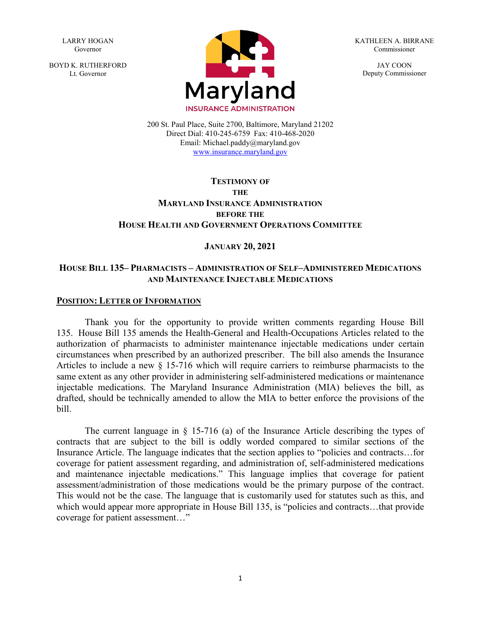LARRY HOGAN Governor

BOYD K. RUTHERFORD Lt. Governor



KATHLEEN A. BIRRANE Commissioner

> JAY COON Deputy Commissioner

200 St. Paul Place, Suite 2700, Baltimore, Maryland 21202 Direct Dial: 410-245-6759 Fax: 410-468-2020 Email: Michael.paddy@maryland.gov [www.insurance.maryland.gov](http://www.insurance.maryland.gov/)

## **TESTIMONY OF THE MARYLAND INSURANCE ADMINISTRATION BEFORE THE HOUSE HEALTH AND GOVERNMENT OPERATIONS COMMITTEE**

## **JANUARY 20, 2021**

## **HOUSE BILL 135– PHARMACISTS – ADMINISTRATION OF SELF–ADMINISTERED MEDICATIONS AND MAINTENANCE INJECTABLE MEDICATIONS**

#### **POSITION: LETTER OF INFORMATION**

Thank you for the opportunity to provide written comments regarding House Bill 135. House Bill 135 amends the Health-General and Health-Occupations Articles related to the authorization of pharmacists to administer maintenance injectable medications under certain circumstances when prescribed by an authorized prescriber. The bill also amends the Insurance Articles to include a new § 15-716 which will require carriers to reimburse pharmacists to the same extent as any other provider in administering self-administered medications or maintenance injectable medications. The Maryland Insurance Administration (MIA) believes the bill, as drafted, should be technically amended to allow the MIA to better enforce the provisions of the bill.

The current language in § 15-716 (a) of the Insurance Article describing the types of contracts that are subject to the bill is oddly worded compared to similar sections of the Insurance Article. The language indicates that the section applies to "policies and contracts…for coverage for patient assessment regarding, and administration of, self-administered medications and maintenance injectable medications." This language implies that coverage for patient assessment/administration of those medications would be the primary purpose of the contract. This would not be the case. The language that is customarily used for statutes such as this, and which would appear more appropriate in House Bill 135, is "policies and contracts...that provide coverage for patient assessment…"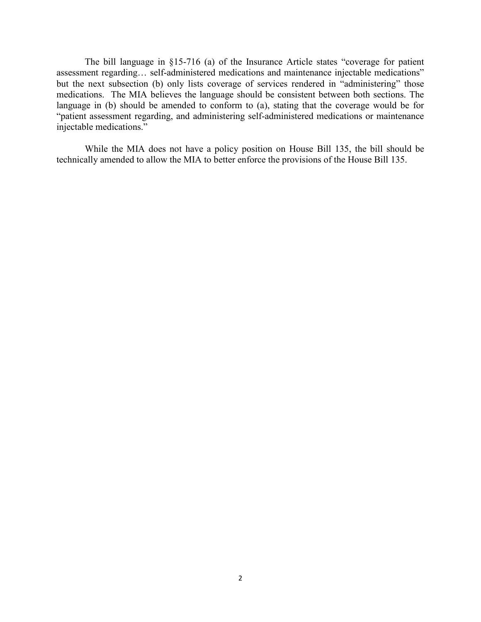The bill language in §15-716 (a) of the Insurance Article states "coverage for patient assessment regarding… self-administered medications and maintenance injectable medications" but the next subsection (b) only lists coverage of services rendered in "administering" those medications. The MIA believes the language should be consistent between both sections. The language in (b) should be amended to conform to (a), stating that the coverage would be for "patient assessment regarding, and administering self-administered medications or maintenance injectable medications."

While the MIA does not have a policy position on House Bill 135, the bill should be technically amended to allow the MIA to better enforce the provisions of the House Bill 135.